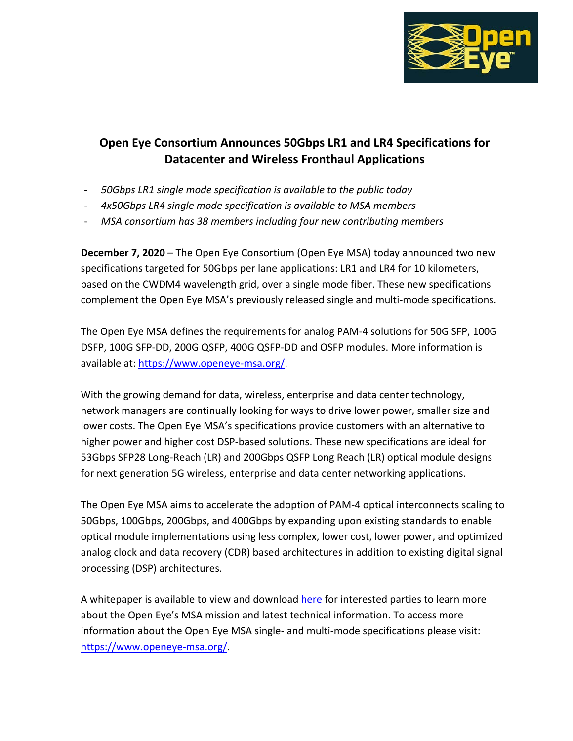

## **Open Eye Consortium Announces 50Gbps LR1 and LR4 Specifications for Datacenter and Wireless Fronthaul Applications**

- *50Gbps LR1 single mode specification is available to the public today*
- *4x50Gbps LR4 single mode specification is available to MSA members*
- *MSA consortium has 38 members including four new contributing members*

**December 7, 2020** – The Open Eye Consortium (Open Eye MSA) today announced two new specifications targeted for 50Gbps per lane applications: LR1 and LR4 for 10 kilometers, based on the CWDM4 wavelength grid, over a single mode fiber. These new specifications complement the Open Eye MSA's previously released single and multi-mode specifications.

The Open Eye MSA defines the requirements for analog PAM-4 solutions for 50G SFP, 100G DSFP, 100G SFP-DD, 200G QSFP, 400G QSFP-DD and OSFP modules. More information is available at: [https://www.openeye-msa.org/.](https://www.openeye-msa.org/)

With the growing demand for data, wireless, enterprise and data center technology, network managers are continually looking for ways to drive lower power, smaller size and lower costs. The Open Eye MSA's specifications provide customers with an alternative to higher power and higher cost DSP-based solutions. These new specifications are ideal for 53Gbps SFP28 Long-Reach (LR) and 200Gbps QSFP Long Reach (LR) optical module designs for next generation 5G wireless, enterprise and data center networking applications.

The Open Eye MSA aims to accelerate the adoption of PAM-4 optical interconnects scaling to 50Gbps, 100Gbps, 200Gbps, and 400Gbps by expanding upon existing standards to enable optical module implementations using less complex, lower cost, lower power, and optimized analog clock and data recovery (CDR) based architectures in addition to existing digital signal processing (DSP) architectures.

A whitepaper is available to view and download [here](https://www.openeye-msa.org/files/live/sites/msa/files/files/OpenEyeTDECQWpFinal.pdf) for interested parties to learn more about the Open Eye's MSA mission and latest technical information. To access more information about the Open Eye MSA single- and multi-mode specifications please visit: [https://www.openeye-msa.org/.](https://www.openeye-msa.org/)